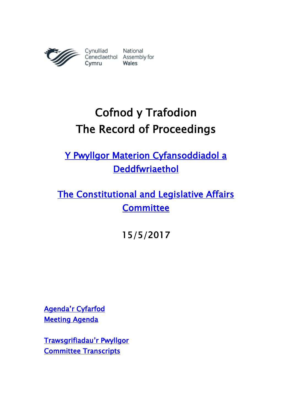

# Cofnod y Trafodion The Record of Proceedings

[Y Pwyllgor Materion Cyfansoddiadol a](http://www.senedd.cynulliad.cymru/mgCommitteeDetails.aspx?ID=434)  [Deddfwriaethol](http://www.senedd.cynulliad.cymru/mgCommitteeDetails.aspx?ID=434) 

[The Constitutional and Legislative Affairs](http://www.senedd.assembly.wales/mgCommitteeDetails.aspx?ID=434)  **Committee** 

15/5/2017

[Agenda'r Cyfarfod](http://senedd.cynulliad.cymru/ieListDocuments.aspx?CId=434&MId=4096&Ver=4) [Meeting Agenda](http://www.senedd.assembly.wales/ieListDocuments.aspx?CId=434&MId=4096&Ver=4) 

[Trawsgrifiadau](http://www.senedd.cynulliad.cymru/mgIssueHistoryHome.aspx?IId=15034)'r Pwyllgor [Committee Transcripts](http://www.senedd.assembly.wales/mgIssueHistoryHome.aspx?IId=15034)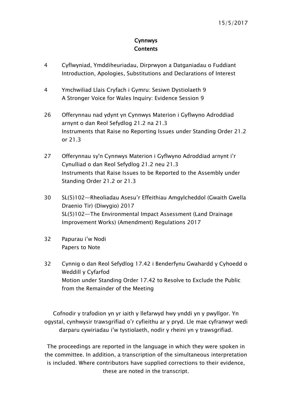### Cynnwys **Contents**

- [4](#page-3-0) [Cyflwyniad, Ymddiheuriadau, Dirprwyon a Datganiadau o Fuddiant](#page-3-0)  [Introduction, Apologies, Substitutions](#page-3-0) and Declarations of Interest
- 4 [Ymchwiliad Llais Cryfach i Gymru: Sesiwn Dystiolaeth 9](#page-3-1) [A Stronger Voice for Wales Inquiry: Evidence Session 9](#page-3-1)
- 26 [Offerynnau nad ydynt yn Cynnwys Materion i Gyflwyno Adroddiad](#page-25-0)  [arnynt o dan Reol Sefydlog 21.2 na 21.3](#page-25-0) [Instruments that Raise no Reporting Issues under Standing Order 21.2](#page-25-0)  [or 21.3](#page-25-0)
- 27 [Offerynnau sy'n Cynnwys Materion i Gyflwyno Adroddiad arnynt i'r](#page-26-0)  [Cynulliad o dan Reol Sefydlog 21.2 neu 21.3](#page-26-0) [Instruments that Raise Issues to be Reported to the Assembly under](#page-26-0)  [Standing Order 21.2 or 21.3](#page-26-0)
- 30 SL(5)102[—Rheoliadau Asesu'r Effeithiau Amgylcheddol \(Gwaith Gwella](#page-29-0)  [Draenio Tir\) \(Diwygio\) 2017](#page-29-0) SL(5)102—[The Environmental Impact Assessment \(Land Drainage](#page-29-0)  [Improvement Works\) \(Amendment\) Regulations 2017](#page-29-0)
- 32 [Papurau i'w Nodi](#page-31-0) [Papers to Note](#page-31-0)
- 32 [Cynnig o dan Reol Sefydlog 17.42 i Benderfynu Gwahardd y Cyhoedd o](#page-31-1)  [Weddill y Cyfarfod](#page-31-1) [Motion under Standing Order 17.42 to Resolve to Exclude the Public](#page-31-1)  [from the Remainder of the Meeting](#page-31-1)

Cofnodir y trafodion yn yr iaith y llefarwyd hwy ynddi yn y pwyllgor. Yn ogystal, cynhwysir trawsgrifiad o'r cyfieithu ar y pryd. Lle mae cyfranwyr wedi darparu cywiriadau i'w tystiolaeth, nodir y rheini yn y trawsgrifiad.

The proceedings are reported in the language in which they were spoken in the committee. In addition, a transcription of the simultaneous interpretation is included. Where contributors have supplied corrections to their evidence, these are noted in the transcript.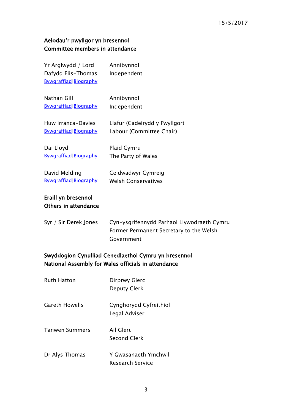## Aelodau'r pwyllgor yn bresennol Committee members in attendance

| Yr Arglwydd / Lord<br>Dafydd Elis-Thomas<br>Bywgraffiad Biography | Annibynnol<br>Independent                                                                           |
|-------------------------------------------------------------------|-----------------------------------------------------------------------------------------------------|
| Nathan Gill                                                       | Annibynnol                                                                                          |
| Bywgraffiad Biography                                             | Independent                                                                                         |
| Huw Irranca-Davies                                                | Llafur (Cadeirydd y Pwyllgor)                                                                       |
| Bywgraffiad Biography                                             | Labour (Committee Chair)                                                                            |
| Dai Lloyd                                                         | Plaid Cymru                                                                                         |
| Bywgraffiad Biography                                             | The Party of Wales                                                                                  |
| David Melding                                                     | Ceidwadwyr Cymreig                                                                                  |
| Bywgraffiad   Biography                                           | <b>Welsh Conservatives</b>                                                                          |
| Eraill yn bresennol<br>Others in attendance                       |                                                                                                     |
| Syr / Sir Derek Jones                                             | Cyn-ysgrifennydd Parhaol Llywodraeth Cymru<br>Former Permanent Secretary to the Welsh<br>Government |

## Swyddogion Cynulliad Cenedlaethol Cymru yn bresennol National Assembly for Wales officials in attendance

| Ruth Hatton           | Dirprwy Glerc<br><b>Deputy Clerk</b>     |
|-----------------------|------------------------------------------|
| <b>Gareth Howells</b> | Cynghorydd Cyfreithiol<br>Legal Adviser  |
| <b>Tanwen Summers</b> | Ail Glerc<br>Second Clerk                |
| Dr Alys Thomas        | Y Gwasanaeth Ymchwil<br>Research Service |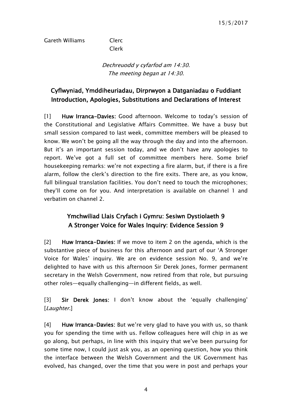## Gareth Williams Clerc

Clerk

Dechreuodd y cyfarfod am 14:30. The meeting began at 14:30.

## <span id="page-3-0"></span>Cyflwyniad, Ymddiheuriadau, Dirprwyon a Datganiadau o Fuddiant Introduction, Apologies, Substitutions and Declarations of Interest

[1] Huw Irranca-Davies: Good afternoon. Welcome to today's session of the Constitutional and Legislative Affairs Committee. We have a busy but small session compared to last week, committee members will be pleased to know. We won't be going all the way through the day and into the afternoon. But it's an important session today, and we don't have any apologies to report. We've got a full set of committee members here. Some brief housekeeping remarks: we're not expecting a fire alarm, but, if there is a fire alarm, follow the clerk's direction to the fire exits. There are, as you know, full bilingual translation facilities. You don't need to touch the microphones; they'll come on for you. And interpretation is available on channel 1 and verbatim on channel 2.

## <span id="page-3-1"></span>Ymchwiliad Llais Cryfach i Gymru: Sesiwn Dystiolaeth 9 A Stronger Voice for Wales Inquiry: Evidence Session 9

[2] Huw Irranca-Davies: If we move to item 2 on the agenda, which is the substantive piece of business for this afternoon and part of our 'A Stronger Voice for Wales' inquiry. We are on evidence session No. 9, and we're delighted to have with us this afternoon Sir Derek Jones, former permanent secretary in the Welsh Government, now retired from that role, but pursuing other roles—equally challenging—in different fields, as well.

[3] Sir Derek Jones: I don't know about the 'equally challenging' [Laughter.]

[4] Huw Irranca-Davies: But we're very glad to have you with us, so thank you for spending the time with us. Fellow colleagues here will chip in as we go along, but perhaps, in line with this inquiry that we've been pursuing for some time now, I could just ask you, as an opening question, how you think the interface between the Welsh Government and the UK Government has evolved, has changed, over the time that you were in post and perhaps your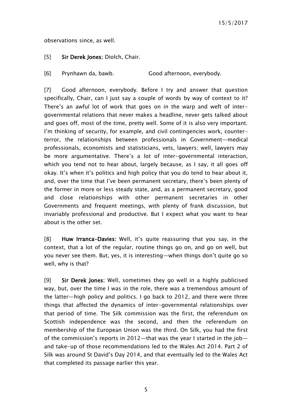observations since, as well.

#### [5] Sir Derek Jones: Diolch, Chair.

[6] Prynhawn da, bawb. Good afternoon, everybody.

[7] Good afternoon, everybody. Before I try and answer that question specifically, Chair, can I just say a couple of words by way of context to it? There's an awful lot of work that goes on in the warp and weft of intergovernmental relations that never makes a headline, never gets talked about and goes off, most of the time, pretty well. Some of it is also very important. I'm thinking of security, for example, and civil contingencies work, counterterror, the relationships between professionals in Government—medical professionals, economists and statisticians, vets, lawyers; well, lawyers may be more argumentative. There's a lot of inter-governmental interaction, which you tend not to hear about, largely because, as I say, it all goes off okay. It's when it's politics and high policy that you do tend to hear about it, and, over the time that I've been permanent secretary, there's been plenty of the former in more or less steady state, and, as a permanent secretary, good and close relationships with other permanent secretaries in other Governments and frequent meetings, with plenty of frank discussion, but invariably professional and productive. But I expect what you want to hear about is the other set.

[8] Huw Irranca-Davies: Well, it's quite reassuring that you say, in the context, that a lot of the regular, routine things go on, and go on well, but you never see them. But, yes, it is interesting—when things don't quite go so well, why is that?

[9] Sir Derek Jones: Well, sometimes they go well in a highly publicised way, but, over the time I was in the role, there was a tremendous amount of the latter—high policy and politics. I go back to 2012, and there were three things that affected the dynamics of inter-governmental relationships over that period of time. The Silk commission was the first, the referendum on Scottish independence was the second, and then the referendum on membership of the European Union was the third. On Silk, you had the first of the commission's reports in 2012—that was the year I started in the job and take-up of those recommendations led to the Wales Act 2014. Part 2 of Silk was around St David's Day 2014, and that eventually led to the Wales Act that completed its passage earlier this year.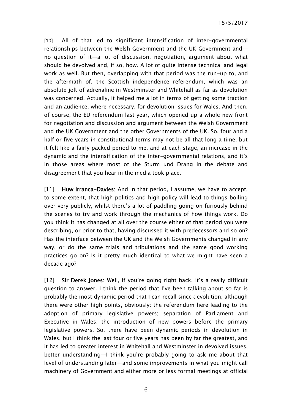[10] All of that led to significant intensification of inter-governmental relationships between the Welsh Government and the UK Government and no question of it—a lot of discussion, negotiation, argument about what should be devolved and, if so, how. A lot of quite intense technical and legal work as well. But then, overlapping with that period was the run-up to, and the aftermath of, the Scottish independence referendum, which was an absolute jolt of adrenaline in Westminster and Whitehall as far as devolution was concerned. Actually, it helped me a lot in terms of getting some traction and an audience, where necessary, for devolution issues for Wales. And then, of course, the EU referendum last year, which opened up a whole new front for negotiation and discussion and argument between the Welsh Government and the UK Government and the other Governments of the UK. So, four and a half or five years in constitutional terms may not be all that long a time, but it felt like a fairly packed period to me, and at each stage, an increase in the dynamic and the intensification of the inter-governmental relations, and it's in those areas where most of the Sturm und Drang in the debate and disagreement that you hear in the media took place.

[11] Huw Irranca-Davies: And in that period, I assume, we have to accept, to some extent, that high politics and high policy will lead to things boiling over very publicly, whilst there's a lot of paddling going on furiously behind the scenes to try and work through the mechanics of how things work. Do you think it has changed at all over the course either of that period you were describing, or prior to that, having discussed it with predecessors and so on? Has the interface between the UK and the Welsh Governments changed in any way, or do the same trials and tribulations and the same good working practices go on? Is it pretty much identical to what we might have seen a decade ago?

[12] Sir Derek Jones: Well, if you're going right back, it's a really difficult question to answer. I think the period that I've been talking about so far is probably the most dynamic period that I can recall since devolution, although there were other high points, obviously: the referendum here leading to the adoption of primary legislative powers; separation of Parliament and Executive in Wales; the introduction of new powers before the primary legislative powers. So, there have been dynamic periods in devolution in Wales, but I think the last four or five years has been by far the greatest, and it has led to greater interest in Whitehall and Westminster in devolved issues, better understanding—I think you're probably going to ask me about that level of understanding later—and some improvements in what you might call machinery of Government and either more or less formal meetings at official

6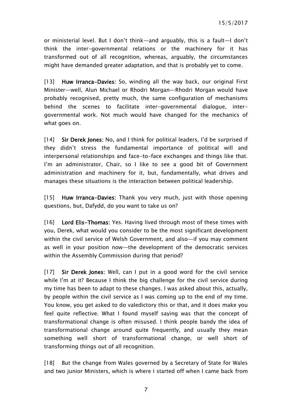or ministerial level. But I don't think—and arguably, this is a fault—I don't think the inter-governmental relations or the machinery for it has transformed out of all recognition, whereas, arguably, the circumstances might have demanded greater adaptation, and that is probably yet to come.

[13] Huw Irranca-Davies: So, winding all the way back, our original First Minister—well, Alun Michael or Rhodri Morgan—Rhodri Morgan would have probably recognised, pretty much, the same configuration of mechanisms behind the scenes to facilitate inter-governmental dialogue, intergovernmental work. Not much would have changed for the mechanics of what goes on.

[14] Sir Derek Jones: No, and I think for political leaders, I'd be surprised if they didn't stress the fundamental importance of political will and interpersonal relationships and face-to-face exchanges and things like that. I'm an administrator, Chair, so I like to see a good bit of Government administration and machinery for it, but, fundamentally, what drives and manages these situations is the interaction between political leadership.

[15] Huw Irranca-Davies: Thank you very much, just with those opening questions, but, Dafydd, do you want to take us on?

[16] Lord Elis-Thomas: Yes. Having lived through most of these times with you, Derek, what would you consider to be the most significant development within the civil service of Welsh Government, and also—if you may comment as well in your position now—the development of the democratic services within the Assembly Commission during that period?

[17] Sir Derek Jones: Well, can I put in a good word for the civil service while I'm at it? Because I think the big challenge for the civil service during my time has been to adapt to these changes. I was asked about this, actually, by people within the civil service as I was coming up to the end of my time. You know, you get asked to do valedictory this or that, and it does make you feel quite reflective. What I found myself saying was that the concept of transformational change is often misused. I think people bandy the idea of transformational change around quite frequently, and usually they mean something well short of transformational change, or well short of transforming things out of all recognition.

[18] But the change from Wales governed by a Secretary of State for Wales and two junior Ministers, which is where I started off when I came back from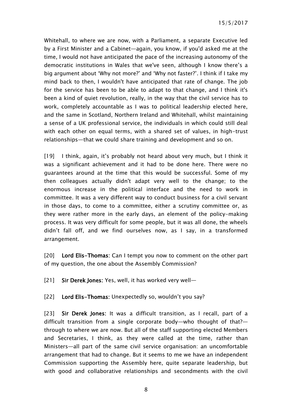Whitehall, to where we are now, with a Parliament, a separate Executive led by a First Minister and a Cabinet—again, you know, if you'd asked me at the time, I would not have anticipated the pace of the increasing autonomy of the democratic institutions in Wales that we've seen, although I know there's a big argument about 'Why not more?' and 'Why not faster?'. I think if I take my mind back to then, I wouldn't have anticipated that rate of change. The job for the service has been to be able to adapt to that change, and I think it's been a kind of quiet revolution, really, in the way that the civil service has to work, completely accountable as I was to political leadership elected here, and the same in Scotland, Northern Ireland and Whitehall, whilst maintaining a sense of a UK professional service, the individuals in which could still deal with each other on equal terms, with a shared set of values, in high-trust relationships—that we could share training and development and so on.

[19] I think, again, it's probably not heard about very much, but I think it was a significant achievement and it had to be done here. There were no guarantees around at the time that this would be successful. Some of my then colleagues actually didn't adapt very well to the change; to the enormous increase in the political interface and the need to work in committee. It was a very different way to conduct business for a civil servant in those days, to come to a committee, either a scrutiny committee or, as they were rather more in the early days, an element of the policy-making process. It was very difficult for some people, but it was all done, the wheels didn't fall off, and we find ourselves now, as I say, in a transformed arrangement.

[20] Lord Elis-Thomas: Can I tempt you now to comment on the other part of my question, the one about the Assembly Commission?

[21] Sir Derek Jones: Yes, well, it has worked very well-

[22] Lord Elis-Thomas: Unexpectedly so, wouldn't you say?

[23] Sir Derek Jones: It was a difficult transition, as I recall, part of a difficult transition from a single corporate body—who thought of that? through to where we are now. But all of the staff supporting elected Members and Secretaries, I think, as they were called at the time, rather than Ministers—all part of the same civil service organisation: an uncomfortable arrangement that had to change. But it seems to me we have an independent Commission supporting the Assembly here, quite separate leadership, but with good and collaborative relationships and secondments with the civil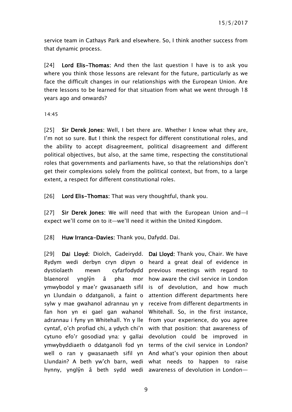service team in Cathays Park and elsewhere. So, I think another success from that dynamic process.

[24] Lord Elis-Thomas: And then the last question I have is to ask you where you think those lessons are relevant for the future, particularly as we face the difficult changes in our relationships with the European Union. Are there lessons to be learned for that situation from what we went through 18 years ago and onwards?

14:45

[25] Sir Derek Jones: Well, I bet there are. Whether I know what they are, I'm not so sure. But I think the respect for different constitutional roles, and the ability to accept disagreement, political disagreement and different political objectives, but also, at the same time, respecting the constitutional roles that governments and parliaments have, so that the relationships don't get their complexions solely from the political context, but from, to a large extent, a respect for different constitutional roles.

[26] Lord Elis-Thomas: That was very thoughtful, thank you.

[27] Sir Derek Jones: We will need that with the European Union and—I expect we'll come on to it—we'll need it within the United Kingdom.

[28] Huw Irranca-Davies: Thank you, Dafydd. Dai.

[29] Dai Lloyd: Diolch, Gadeirydd. Dai Lloyd: Thank you, Chair. We have Rydym wedi derbyn cryn dipyn o heard a great deal of evidence in dystiolaeth mewn cyfarfodydd previous meetings with regard to blaenorol vnglŷn â pha ymwybodol y mae'r gwasanaeth sifil is of devolution, and how much yn Llundain o ddatganoli, a faint o attention different departments here sylw y mae gwahanol adrannau yn y receive from different departments in fan hon yn ei gael gan wahanol Whitehall. So, in the first instance, adrannau i fyny yn Whitehall. Yn y lle from your experience, do you agree cyntaf, o'ch profiad chi, a ydych chi'n with that position: that awareness of cytuno efo'r gosodiad yna: y gallai devolution could be improved in ymwybyddiaeth o ddatganoli fod yn terms of the civil service in London? well o ran y gwasanaeth sifil yn And what's your opinion then about Llundain? A beth yw'ch barn, wedi what needs to happen to raise hynny, ynglŷn â beth sydd wedi awareness of devolution in London—

mor how aware the civil service in London

9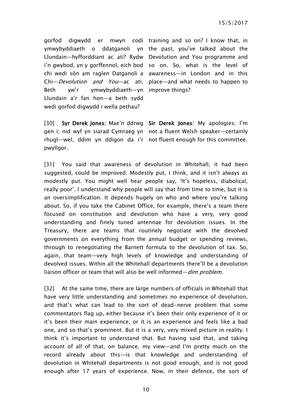gorfod digwydd er mwyn codi training and so on? I know that, in ymwybyddiaeth o ddatganoli yn the past, you've talked about the Llundain—hyfforddiant ac ati? Rydw Devolution and You programme and i'n gwybod, yn y gorffennol, eich bod so on. So, what is the level of chi wedi sôn am raglen Datganoli a awareness—in London and in this Chi—*Devolution and You*—ac ati. place—and what needs to happen to Beth yw'r ymwybyddiaeth—yn improve things? Llundain a'r fan hon—a beth sydd wedi gorfod digwydd i wella pethau?

[30] Syr Derek Jones: Mae'n ddrwg Sir Derek Jones: My apologies; I'm gen i; nid wyf yn siarad Cymraeg yn not a fluent Welsh speaker—certainly rhugl—wel, ddim yn ddigon da i'r not fluent enough for this committee. pwyllgor.

[31] You said that awareness of devolution in Whitehall, it had been suggested, could be improved. Modestly put, I think, and it isn't always as modestly put. You might well hear people say, 'It's hopeless, diabolical, really poor'. I understand why people will say that from time to time, but it is an oversimplification. It depends hugely on who and where you're talking about. So, if you take the Cabinet Office, for example, there's a team there focused on constitution and devolution who have a very, very good understanding and finely tuned antennae for devolution issues. In the Treasury, there are teams that routinely negotiate with the devolved governments on everything from the annual budget or spending reviews, through to renegotiating the Barnett formula to the devolution of tax. So, again, that team—very high levels of knowledge and understanding of devolved issues. Within all the Whitehall departments there'll be a devolution liaison officer or team that will also be well informed—*dim problem.* 

[32] At the same time, there are large numbers of officials in Whitehall that have very little understanding and sometimes no experience of devolution, and that's what can lead to the sort of dead-nerve problem that some commentators flag up, either because it's been their only experience of it or it's been their main experience, or it is an experience and feels like a bad one, and so that's prominent. But it is a very, very mixed picture in reality. I think it's important to understand that. But having said that, and taking account of all of that, on balance, my view—and I'm pretty much on the record already about this—is that knowledge and understanding of devolution in Whitehall departments is not good enough, and is not good enough after 17 years of experience. Now, in their defence, the sort of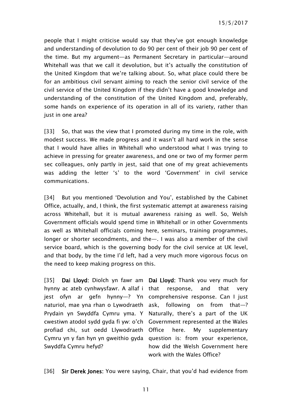people that I might criticise would say that they've got enough knowledge and understanding of devolution to do 90 per cent of their job 90 per cent of the time. But my argument—as Permanent Secretary in particular—around Whitehall was that we call it devolution, but it's actually the constitution of the United Kingdom that we're talking about. So, what place could there be for an ambitious civil servant aiming to reach the senior civil service of the civil service of the United Kingdom if they didn't have a good knowledge and understanding of the constitution of the United Kingdom and, preferably, some hands on experience of its operation in all of its variety, rather than just in one area?

[33] So, that was the view that I promoted during my time in the role, with modest success. We made progress and it wasn't all hard work in the sense that I would have allies in Whitehall who understood what I was trying to achieve in pressing for greater awareness, and one or two of my former perm sec colleagues, only partly in jest, said that one of my great achievements was adding the letter 's' to the word 'Government' in civil service communications.

[34] But you mentioned 'Devolution and You', established by the Cabinet Office, actually, and, I think, the first systematic attempt at awareness raising across Whitehall, but it is mutual awareness raising as well. So, Welsh Government officials would spend time in Whitehall or in other Governments as well as Whitehall officials coming here, seminars, training programmes, longer or shorter secondments, and the—. I was also a member of the civil service board, which is the governing body for the civil service at UK level, and that body, by the time I'd left, had a very much more vigorous focus on the need to keep making progress on this.

[35] Dai Lloyd: Diolch yn fawr am Dai Lloyd: Thank you very much for hynny ac ateb cynhwysfawr. A allaf i jest ofyn ar gefn hynny—? Yn comprehensive response. Can I just naturiol, mae yna rhan o Lywodraeth ask, following on from that—? Prydain yn Swyddfa Cymru yma. Y Naturally, there's a part of the UK cwestiwn atodol sydd gyda fi yw: o'ch Government represented at the Wales profiad chi, sut oedd Llywodraeth Cymru yn y fan hyn yn gweithio gyda question is: from your experience, Swyddfa Cymru hefyd?

response, and that very here. My supplementary how did the Welsh Government here work with the Wales Office?

[36] Sir Derek Jones: You were saying, Chair, that you'd had evidence from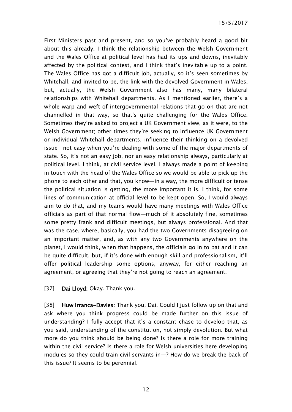First Ministers past and present, and so you've probably heard a good bit about this already. I think the relationship between the Welsh Government and the Wales Office at political level has had its ups and downs, inevitably affected by the political contest, and I think that's inevitable up to a point. The Wales Office has got a difficult job, actually, so it's seen sometimes by Whitehall, and invited to be, the link with the devolved Government in Wales, but, actually, the Welsh Government also has many, many bilateral relationships with Whitehall departments. As I mentioned earlier, there's a whole warp and weft of intergovernmental relations that go on that are not channelled in that way, so that's quite challenging for the Wales Office. Sometimes they're asked to project a UK Government view, as it were, to the Welsh Government; other times they're seeking to influence UK Government or individual Whitehall departments, influence their thinking on a devolved issue—not easy when you're dealing with some of the major departments of state. So, it's not an easy job, nor an easy relationship always, particularly at political level. I think, at civil service level, I always made a point of keeping in touch with the head of the Wales Office so we would be able to pick up the phone to each other and that, you know—in a way, the more difficult or tense the political situation is getting, the more important it is, I think, for some lines of communication at official level to be kept open. So, I would always aim to do that, and my teams would have many meetings with Wales Office officials as part of that normal flow—much of it absolutely fine, sometimes some pretty frank and difficult meetings, but always professional. And that was the case, where, basically, you had the two Governments disagreeing on an important matter, and, as with any two Governments anywhere on the planet, I would think, when that happens, the officials go in to bat and it can be quite difficult, but, if it's done with enough skill and professionalism, it'll offer political leadership some options, anyway, for either reaching an agreement, or agreeing that they're not going to reach an agreement.

[37] Dai Lloyd: Okay. Thank you.

[38] Huw Irranca-Davies: Thank you, Dai. Could I just follow up on that and ask where you think progress could be made further on this issue of understanding? I fully accept that it's a constant chase to develop that, as you said, understanding of the constitution, not simply devolution. But what more do you think should be being done? Is there a role for more training within the civil service? Is there a role for Welsh universities here developing modules so they could train civil servants in—? How do we break the back of this issue? It seems to be perennial.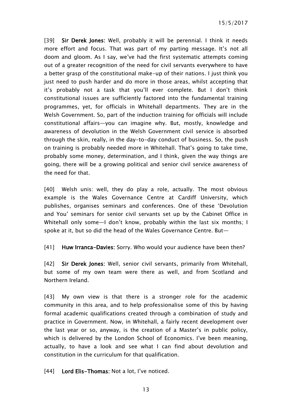15/5/2017

[39] Sir Derek Jones: Well, probably it will be perennial. I think it needs more effort and focus. That was part of my parting message. It's not all doom and gloom. As I say, we've had the first systematic attempts coming out of a greater recognition of the need for civil servants everywhere to have a better grasp of the constitutional make-up of their nations. I just think you just need to push harder and do more in those areas, whilst accepting that it's probably not a task that you'll ever complete. But I don't think constitutional issues are sufficiently factored into the fundamental training programmes, yet, for officials in Whitehall departments. They are in the Welsh Government. So, part of the induction training for officials will include constitutional affairs—you can imagine why. But, mostly, knowledge and awareness of devolution in the Welsh Government civil service is absorbed through the skin, really, in the day-to-day conduct of business. So, the push on training is probably needed more in Whitehall. That's going to take time, probably some money, determination, and I think, given the way things are going, there will be a growing political and senior civil service awareness of the need for that.

[40] Welsh unis: well, they do play a role, actually. The most obvious example is the Wales Governance Centre at Cardiff University, which publishes, organises seminars and conferences. One of these 'Devolution and You' seminars for senior civil servants set up by the Cabinet Office in Whitehall only some—I don't know, probably within the last six months; I spoke at it, but so did the head of the Wales Governance Centre. But—

[41] Huw Irranca-Davies: Sorry. Who would your audience have been then?

[42] Sir Derek Jones: Well, senior civil servants, primarily from Whitehall, but some of my own team were there as well, and from Scotland and Northern Ireland.

[43] My own view is that there is a stronger role for the academic community in this area, and to help professionalise some of this by having formal academic qualifications created through a combination of study and practice in Government. Now, in Whitehall, a fairly recent development over the last year or so, anyway, is the creation of a Master's in public policy, which is delivered by the London School of Economics. I've been meaning, actually, to have a look and see what I can find about devolution and constitution in the curriculum for that qualification.

[44] Lord Elis-Thomas: Not a lot, I've noticed.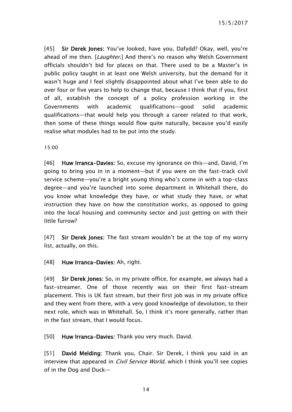15/5/2017

[45] Sir Derek Jones: You've looked, have you, Dafydd? Okay, well, you're ahead of me then. [Laughter.] And there's no reason why Welsh Government officials shouldn't bid for places on that. There used to be a Master's in public policy taught in at least one Welsh university, but the demand for it wasn't huge and I feel slightly disappointed about what I've been able to do over four or five years to help to change that, because I think that if you, first of all, establish the concept of a policy profession working in the Governments with academic qualifications—good solid academic qualifications—that would help you through a career related to that work, then some of these things would flow quite naturally, because you'd easily realise what modules had to be put into the study.

15:00

[46] Huw Irranca-Davies: So, excuse my ignorance on this—and, David, I'm going to bring you in in a moment—but if you were on the fast-track civil service scheme—you're a bright young thing who's come in with a top-class degree—and you're launched into some department in Whitehall there, do you know what knowledge they have, or what study they have, or what instruction they have on how the constitution works, as opposed to going into the local housing and community sector and just getting on with their little furrow?

[47] Sir Derek Jones: The fast stream wouldn't be at the top of my worry list, actually, on this.

[48] Huw Irranca-Davies: Ah, right.

[49] Sir Derek Jones: So, in my private office, for example, we always had a fast-streamer. One of those recently was on their first fast-stream placement. This is UK fast stream, but their first job was in my private office and they went from there, with a very good knowledge of devolution, to their next role, which was in Whitehall. So, I think it's more generally, rather than in the fast stream, that I would focus.

[50] Huw Irranca-Davies: Thank you very much. David.

[51] David Melding: Thank you, Chair. Sir Derek, I think you said in an interview that appeared in *Civil Service World*, which I think you'll see copies of in the Dog and Duck—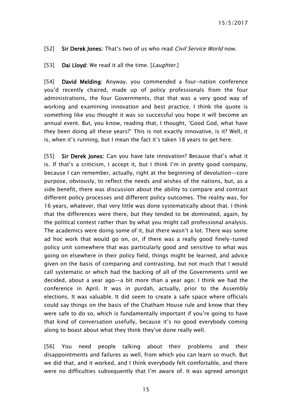#### [52] Sir Derek Jones: That's two of us who read *Civil Service World* now.

#### [53] Dai Lloyd: We read it all the time. [Laughter.]

[54] David Melding: Anyway, you commended a four-nation conference you'd recently chaired, made up of policy professionals from the four administrations, the four Governments, that that was a very good way of working and examining innovation and best practice. I think the quote is something like you thought it was so successful you hope it will become an annual event. But, you know, reading that, I thought, 'Good God, what have they been doing all these years?' This is not exactly innovative, is it? Well, it is, when it's running, but I mean the fact it's taken 18 years to get here.

[55] Sir Derek Jones: Can you have late innovation? Because that's what it is. If that's a criticism, I accept it, but I think I'm in pretty good company, because I can remember, actually, right at the beginning of devolution—core purpose, obviously, to reflect the needs and wishes of the nations, but, as a side benefit, there was discussion about the ability to compare and contrast different policy processes and different policy outcomes. The reality was, for 16 years, whatever, that very little was done systematically about that. I think that the differences were there, but they tended to be dominated, again, by the political contest rather than by what you might call professional analysis. The academics were doing some of it, but there wasn't a lot. There was some ad hoc work that would go on, or, if there was a really good finely-tuned policy unit somewhere that was particularly good and sensitive to what was going on elsewhere in their policy field, things might be learned, and advice given on the basis of comparing and contrasting, but not much that I would call systematic or which had the backing of all of the Governments until we decided, about a year ago—a bit more than a year ago; I think we had the conference in April. It was in purdah, actually, prior to the Assembly elections. It was valuable. It did seem to create a safe space where officials could say things on the basis of the Chatham House rule and know that they were safe to do so, which is fundamentally important if you're going to have that kind of conversation usefully, because it's no good everybody coming along to boast about what they think they've done really well.

[56] You need people talking about their problems and their disappointments and failures as well, from which you can learn so much. But we did that, and it worked, and I think everybody felt comfortable, and there were no difficulties subsequently that I'm aware of. It was agreed amongst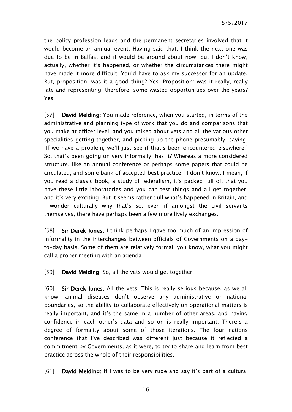the policy profession leads and the permanent secretaries involved that it would become an annual event. Having said that, I think the next one was due to be in Belfast and it would be around about now, but I don't know, actually, whether it's happened, or whether the circumstances there might have made it more difficult. You'd have to ask my successor for an update. But, proposition: was it a good thing? Yes. Proposition: was it really, really late and representing, therefore, some wasted opportunities over the years? Yes.

[57] David Melding: You made reference, when you started, in terms of the administrative and planning type of work that you do and comparisons that you make at officer level, and you talked about vets and all the various other specialities getting together, and picking up the phone presumably, saying, 'If we have a problem, we'll just see if that's been encountered elsewhere.' So, that's been going on very informally, has it? Whereas a more considered structure, like an annual conference or perhaps some papers that could be circulated, and some bank of accepted best practice—I don't know. I mean, if you read a classic book, a study of federalism, it's packed full of, that you have these little laboratories and you can test things and all get together, and it's very exciting. But it seems rather dull what's happened in Britain, and I wonder culturally why that's so, even if amongst the civil servants themselves, there have perhaps been a few more lively exchanges.

[58] Sir Derek Jones: I think perhaps I gave too much of an impression of informality in the interchanges between officials of Governments on a dayto-day basis. Some of them are relatively formal; you know, what you might call a proper meeting with an agenda.

[59] **David Melding:** So, all the vets would get together.

[60] Sir Derek Jones: All the vets. This is really serious because, as we all know, animal diseases don't observe any administrative or national boundaries, so the ability to collaborate effectively on operational matters is really important, and it's the same in a number of other areas, and having confidence in each other's data and so on is really important. There's a degree of formality about some of those iterations. The four nations conference that I've described was different just because it reflected a commitment by Governments, as it were, to try to share and learn from best practice across the whole of their responsibilities.

[61] David Melding: If I was to be very rude and say it's part of a cultural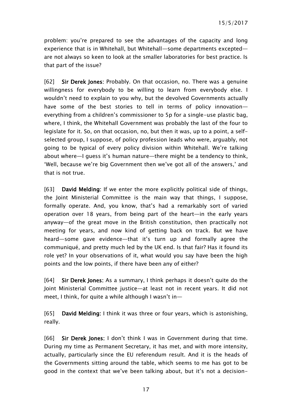problem: you're prepared to see the advantages of the capacity and long experience that is in Whitehall, but Whitehall—some departments excepted are not always so keen to look at the smaller laboratories for best practice. Is that part of the issue?

[62] Sir Derek Jones: Probably. On that occasion, no. There was a genuine willingness for everybody to be willing to learn from everybody else. I wouldn't need to explain to you why, but the devolved Governments actually have some of the best stories to tell in terms of policy innovation everything from a children's commissioner to 5p for a single-use plastic bag, where, I think, the Whitehall Government was probably the last of the four to legislate for it. So, on that occasion, no, but then it was, up to a point, a selfselected group, I suppose, of policy profession leads who were, arguably, not going to be typical of every policy division within Whitehall. We're talking about where—I guess it's human nature—there might be a tendency to think, 'Well, because we're big Government then we've got all of the answers,' and that is not true.

[63] David Melding: If we enter the more explicitly political side of things, the Joint Ministerial Committee is the main way that things, I suppose, formally operate. And, you know, that's had a remarkably sort of varied operation over 18 years, from being part of the heart—in the early years anyway—of the great move in the British constitution, then practically not meeting for years, and now kind of getting back on track. But we have heard—some gave evidence—that it's turn up and formally agree the communiqué, and pretty much led by the UK end. Is that fair? Has it found its role yet? In your observations of it, what would you say have been the high points and the low points, if there have been any of either?

[64] Sir Derek Jones: As a summary, I think perhaps it doesn't quite do the Joint Ministerial Committee justice—at least not in recent years. It did not meet, I think, for quite a while although I wasn't in—

[65] David Melding: I think it was three or four years, which is astonishing, really.

[66] Sir Derek Jones: I don't think I was in Government during that time. During my time as Permanent Secretary, it has met, and with more intensity, actually, particularly since the EU referendum result. And it is the heads of the Governments sitting around the table, which seems to me has got to be good in the context that we've been talking about, but it's not a decision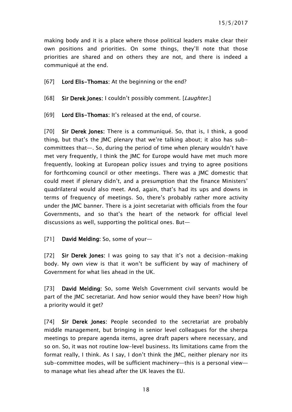making body and it is a place where those political leaders make clear their own positions and priorities. On some things, they'll note that those priorities are shared and on others they are not, and there is indeed a communiqué at the end.

[67] Lord Elis-Thomas: At the beginning or the end?

[68] Sir Derek Jones: I couldn't possibly comment. [Laughter.]

[69] Lord Elis-Thomas: It's released at the end, of course.

[70] Sir Derek Jones: There is a communiqué. So, that is, I think, a good thing, but that's the JMC plenary that we're talking about; it also has subcommittees that—. So, during the period of time when plenary wouldn't have met very frequently, I think the JMC for Europe would have met much more frequently, looking at European policy issues and trying to agree positions for forthcoming council or other meetings. There was a JMC domestic that could meet if plenary didn't, and a presumption that the finance Ministers' quadrilateral would also meet. And, again, that's had its ups and downs in terms of frequency of meetings. So, there's probably rather more activity under the JMC banner. There is a joint secretariat with officials from the four Governments, and so that's the heart of the network for official level discussions as well, supporting the political ones. But—

[71] David Melding: So, some of your-

[72] Sir Derek Jones: I was going to say that it's not a decision-making body. My own view is that it won't be sufficient by way of machinery of Government for what lies ahead in the UK.

[73] David Melding: So, some Welsh Government civil servants would be part of the JMC secretariat. And how senior would they have been? How high a priority would it get?

[74] Sir Derek Jones: People seconded to the secretariat are probably middle management, but bringing in senior level colleagues for the sherpa meetings to prepare agenda items, agree draft papers where necessary, and so on. So, it was not routine low-level business. Its limitations came from the format really, I think. As I say, I don't think the JMC, neither plenary nor its sub-committee modes, will be sufficient machinery—this is a personal view to manage what lies ahead after the UK leaves the EU.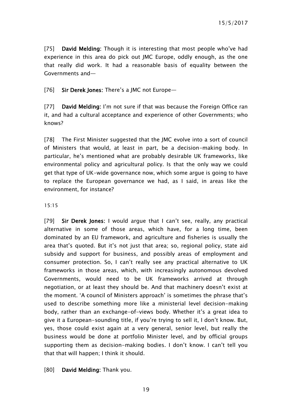[75] David Melding: Though it is interesting that most people who've had experience in this area do pick out JMC Europe, oddly enough, as the one that really did work. It had a reasonable basis of equality between the Governments and—

[76] Sir Derek Jones: There's a JMC not Europe-

[77] David Melding: I'm not sure if that was because the Foreign Office ran it, and had a cultural acceptance and experience of other Governments; who knows?

[78] The First Minister suggested that the JMC evolve into a sort of council of Ministers that would, at least in part, be a decision-making body. In particular, he's mentioned what are probably desirable UK frameworks, like environmental policy and agricultural policy. Is that the only way we could get that type of UK-wide governance now, which some argue is going to have to replace the European governance we had, as I said, in areas like the environment, for instance?

#### 15:15

[79] Sir Derek Jones: I would argue that I can't see, really, any practical alternative in some of those areas, which have, for a long time, been dominated by an EU framework, and agriculture and fisheries is usually the area that's quoted. But it's not just that area; so, regional policy, state aid subsidy and support for business, and possibly areas of employment and consumer protection. So, I can't really see any practical alternative to UK frameworks in those areas, which, with increasingly autonomous devolved Governments, would need to be UK frameworks arrived at through negotiation, or at least they should be. And that machinery doesn't exist at the moment. 'A council of Ministers approach' is sometimes the phrase that's used to describe something more like a ministerial level decision-making body, rather than an exchange-of-views body. Whether it's a great idea to give it a European-sounding title, if you're trying to sell it, I don't know. But, yes, those could exist again at a very general, senior level, but really the business would be done at portfolio Minister level, and by official groups supporting them as decision-making bodies. I don't know. I can't tell you that that will happen; I think it should.

#### [80] **David Melding:** Thank you.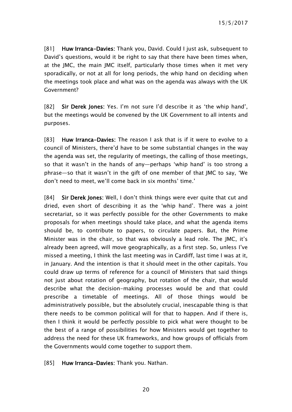[81] Huw Irranca-Davies: Thank you, David. Could I just ask, subsequent to David's questions, would it be right to say that there have been times when, at the JMC, the main JMC itself, particularly those times when it met very sporadically, or not at all for long periods, the whip hand on deciding when the meetings took place and what was on the agenda was always with the UK Government?

[82] Sir Derek Jones: Yes. I'm not sure I'd describe it as 'the whip hand', but the meetings would be convened by the UK Government to all intents and purposes.

[83] Huw Irranca-Davies: The reason I ask that is if it were to evolve to a council of Ministers, there'd have to be some substantial changes in the way the agenda was set, the regularity of meetings, the calling of those meetings, so that it wasn't in the hands of any—perhaps 'whip hand' is too strong a phrase—so that it wasn't in the gift of one member of that JMC to say, 'We don't need to meet, we'll come back in six months' time.'

[84] Sir Derek Jones: Well, I don't think things were ever quite that cut and dried, even short of describing it as the 'whip hand'. There was a joint secretariat, so it was perfectly possible for the other Governments to make proposals for when meetings should take place, and what the agenda items should be, to contribute to papers, to circulate papers. But, the Prime Minister was in the chair, so that was obviously a lead role. The JMC, it's already been agreed, will move geographically, as a first step. So, unless I've missed a meeting, I think the last meeting was in Cardiff, last time I was at it, in January. And the intention is that it should meet in the other capitals. You could draw up terms of reference for a council of Ministers that said things not just about rotation of geography, but rotation of the chair, that would describe what the decision-making processes would be and that could prescribe a timetable of meetings. All of those things would be administratively possible, but the absolutely crucial, inescapable thing is that there needs to be common political will for that to happen. And if there is, then I think it would be perfectly possible to pick what were thought to be the best of a range of possibilities for how Ministers would get together to address the need for these UK frameworks, and how groups of officials from the Governments would come together to support them.

[85] Huw Irranca-Davies: Thank you. Nathan.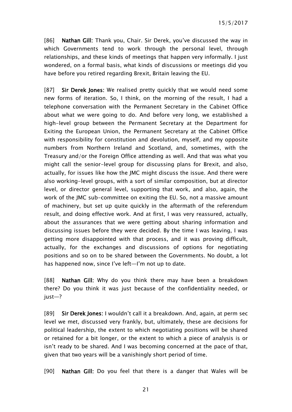[86] Nathan Gill: Thank you, Chair. Sir Derek, you've discussed the way in which Governments tend to work through the personal level, through relationships, and these kinds of meetings that happen very informally. I just wondered, on a formal basis, what kinds of discussions or meetings did you have before you retired regarding Brexit, Britain leaving the EU.

[87] Sir Derek Jones: We realised pretty quickly that we would need some new forms of iteration. So, I think, on the morning of the result, I had a telephone conversation with the Permanent Secretary in the Cabinet Office about what we were going to do. And before very long, we established a high-level group between the Permanent Secretary at the Department for Exiting the European Union, the Permanent Secretary at the Cabinet Office with responsibility for constitution and devolution, myself, and my opposite numbers from Northern Ireland and Scotland, and, sometimes, with the Treasury and/or the Foreign Office attending as well. And that was what you might call the senior-level group for discussing plans for Brexit, and also, actually, for issues like how the JMC might discuss the issue. And there were also working-level groups, with a sort of similar composition, but at director level, or director general level, supporting that work, and also, again, the work of the JMC sub-committee on exiting the EU. So, not a massive amount of machinery, but set up quite quickly in the aftermath of the referendum result, and doing effective work. And at first, I was very reassured, actually, about the assurances that we were getting about sharing information and discussing issues before they were decided. By the time I was leaving, I was getting more disappointed with that process, and it was proving difficult, actually, for the exchanges and discussions of options for negotiating positions and so on to be shared between the Governments. No doubt, a lot has happened now, since I've left—I'm not up to date.

[88] Nathan Gill: Why do you think there may have been a breakdown there? Do you think it was just because of the confidentiality needed, or just—?

[89] Sir Derek Jones: I wouldn't call it a breakdown. And, again, at perm sec level we met, discussed very frankly, but, ultimately, these are decisions for political leadership, the extent to which negotiating positions will be shared or retained for a bit longer, or the extent to which a piece of analysis is or isn't ready to be shared. And I was becoming concerned at the pace of that, given that two years will be a vanishingly short period of time.

[90] Nathan Gill: Do you feel that there is a danger that Wales will be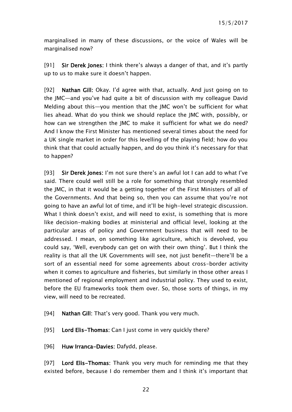marginalised in many of these discussions, or the voice of Wales will be marginalised now?

[91] Sir Derek Jones: I think there's always a danger of that, and it's partly up to us to make sure it doesn't happen.

[92] Nathan Gill: Okay. I'd agree with that, actually. And just going on to the JMC—and you've had quite a bit of discussion with my colleague David Melding about this—you mention that the JMC won't be sufficient for what lies ahead. What do you think we should replace the JMC with, possibly, or how can we strengthen the JMC to make it sufficient for what we do need? And I know the First Minister has mentioned several times about the need for a UK single market in order for this levelling of the playing field; how do you think that that could actually happen, and do you think it's necessary for that to happen?

[93] Sir Derek Jones: I'm not sure there's an awful lot I can add to what I've said. There could well still be a role for something that strongly resembled the JMC, in that it would be a getting together of the First Ministers of all of the Governments. And that being so, then you can assume that you're not going to have an awful lot of time, and it'll be high-level strategic discussion. What I think doesn't exist, and will need to exist, is something that is more like decision-making bodies at ministerial and official level, looking at the particular areas of policy and Government business that will need to be addressed. I mean, on something like agriculture, which is devolved, you could say, 'Well, everybody can get on with their own thing'. But I think the reality is that all the UK Governments will see, not just benefit—there'll be a sort of an essential need for some agreements about cross-border activity when it comes to agriculture and fisheries, but similarly in those other areas I mentioned of regional employment and industrial policy. They used to exist, before the EU frameworks took them over. So, those sorts of things, in my view, will need to be recreated.

- [94] Nathan Gill: That's very good. Thank you very much.
- [95] Lord Elis-Thomas: Can I just come in very quickly there?
- [96] Huw Irranca-Davies: Dafydd, please.

[97] Lord Elis-Thomas: Thank you very much for reminding me that they existed before, because I do remember them and I think it's important that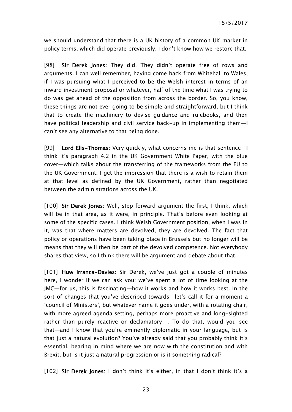we should understand that there is a UK history of a common UK market in policy terms, which did operate previously. I don't know how we restore that.

[98] Sir Derek Jones: They did. They didn't operate free of rows and arguments. I can well remember, having come back from Whitehall to Wales, if I was pursuing what I perceived to be the Welsh interest in terms of an inward investment proposal or whatever, half of the time what I was trying to do was get ahead of the opposition from across the border. So, you know, these things are not ever going to be simple and straightforward, but I think that to create the machinery to devise guidance and rulebooks, and then have political leadership and civil service back-up in implementing them—I can't see any alternative to that being done.

[99] Lord Elis-Thomas: Very quickly, what concerns me is that sentence—I think it's paragraph 4.2 in the UK Government White Paper, with the blue cover—which talks about the transferring of the frameworks from the EU to the UK Government. I get the impression that there is a wish to retain them at that level as defined by the UK Government, rather than negotiated between the administrations across the UK.

[100] Sir Derek Jones: Well, step forward argument the first, I think, which will be in that area, as it were, in principle. That's before even looking at some of the specific cases. I think Welsh Government position, when I was in it, was that where matters are devolved, they are devolved. The fact that policy or operations have been taking place in Brussels but no longer will be means that they will then be part of the devolved competence. Not everybody shares that view, so I think there will be argument and debate about that.

[101] Huw Irranca-Davies: Sir Derek, we've just got a couple of minutes here, I wonder if we can ask you: we've spent a lot of time looking at the JMC—for us, this is fascinating—how it works and how it works best. In the sort of changes that you've described towards—let's call it for a moment a 'council of Ministers', but whatever name it goes under, with a rotating chair, with more agreed agenda setting, perhaps more proactive and long-sighted rather than purely reactive or declamatory—. To do that, would you see that—and I know that you're eminently diplomatic in your language, but is that just a natural evolution? You've already said that you probably think it's essential, bearing in mind where we are now with the constitution and with Brexit, but is it just a natural progression or is it something radical?

[102] Sir Derek Jones: I don't think it's either, in that I don't think it's a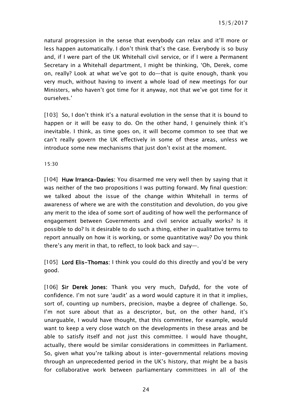natural progression in the sense that everybody can relax and it'll more or less happen automatically. I don't think that's the case. Everybody is so busy and, if I were part of the UK Whitehall civil service, or if I were a Permanent Secretary in a Whitehall department, I might be thinking, 'Oh, Derek, come on, really? Look at what we've got to do—that is quite enough, thank you very much, without having to invent a whole load of new meetings for our Ministers, who haven't got time for it anyway, not that we've got time for it ourselves.'

[103] So, I don't think it's a natural evolution in the sense that it is bound to happen or it will be easy to do. On the other hand, I genuinely think it's inevitable. I think, as time goes on, it will become common to see that we can't really govern the UK effectively in some of these areas, unless we introduce some new mechanisms that just don't exist at the moment.

15:30

[104] Huw Irranca-Davies: You disarmed me very well then by saying that it was neither of the two propositions I was putting forward. My final question: we talked about the issue of the change within Whitehall in terms of awareness of where we are with the constitution and devolution, do you give any merit to the idea of some sort of auditing of how well the performance of engagement between Governments and civil service actually works? Is it possible to do? Is it desirable to do such a thing, either in qualitative terms to report annually on how it is working, or some quantitative way? Do you think there's any merit in that, to reflect, to look back and say—.

[105] Lord Elis-Thomas: I think you could do this directly and you'd be very good.

[106] Sir Derek Jones: Thank you very much, Dafydd, for the vote of confidence. I'm not sure 'audit' as a word would capture it in that it implies, sort of, counting up numbers, precision, maybe a degree of challenge. So, I'm not sure about that as a descriptor, but, on the other hand, it's unarguable, I would have thought, that this committee, for example, would want to keep a very close watch on the developments in these areas and be able to satisfy itself and not just this committee. I would have thought, actually, there would be similar considerations in committees in Parliament. So, given what you're talking about is inter-governmental relations moving through an unprecedented period in the UK's history, that might be a basis for collaborative work between parliamentary committees in all of the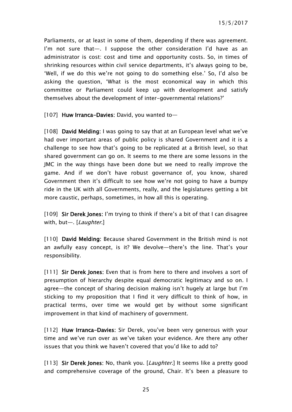Parliaments, or at least in some of them, depending if there was agreement. I'm not sure that—. I suppose the other consideration I'd have as an administrator is cost: cost and time and opportunity costs. So, in times of shrinking resources within civil service departments, it's always going to be, 'Well, if we do this we're not going to do something else.' So, I'd also be asking the question, 'What is the most economical way in which this committee or Parliament could keep up with development and satisfy themselves about the development of inter-governmental relations?'

[107] Huw Irranca-Davies: David, you wanted to-

[108] David Melding: I was going to say that at an European level what we've had over important areas of public policy is shared Government and it is a challenge to see how that's going to be replicated at a British level, so that shared government can go on. It seems to me there are some lessons in the JMC in the way things have been done but we need to really improve the game. And if we don't have robust governance of, you know, shared Government then it's difficult to see how we're not going to have a bumpy ride in the UK with all Governments, really, and the legislatures getting a bit more caustic, perhaps, sometimes, in how all this is operating.

[109] Sir Derek Jones: I'm trying to think if there's a bit of that I can disagree with, but-. [Laughter.]

[110] David Melding: Because shared Government in the British mind is not an awfully easy concept, is it? We devolve—there's the line. That's your responsibility.

[111] **Sir Derek Jones:** Even that is from here to there and involves a sort of presumption of hierarchy despite equal democratic legitimacy and so on. I agree—the concept of sharing decision making isn't hugely at large but I'm sticking to my proposition that I find it very difficult to think of how, in practical terms, over time we would get by without some significant improvement in that kind of machinery of government.

[112] Huw Irranca-Davies: Sir Derek, you've been very generous with your time and we've run over as we've taken your evidence. Are there any other issues that you think we haven't covered that you'd like to add to?

[113] Sir Derek Jones: No, thank you. [*Laughter*.] It seems like a pretty good and comprehensive coverage of the ground, Chair. It's been a pleasure to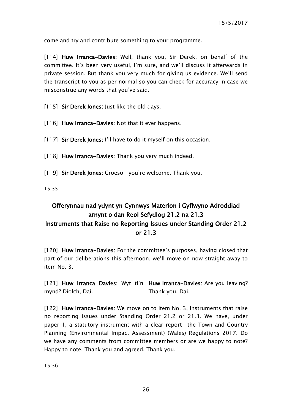come and try and contribute something to your programme.

[114] Huw Irranca-Davies: Well, thank you, Sir Derek, on behalf of the committee. It's been very useful, I'm sure, and we'll discuss it afterwards in private session. But thank you very much for giving us evidence. We'll send the transcript to you as per normal so you can check for accuracy in case we misconstrue any words that you've said.

[115] **Sir Derek Jones:** Just like the old days.

- [116] Huw Irranca-Davies: Not that it ever happens.
- [117] Sir Derek Jones: I'll have to do it myself on this occasion.

[118] Huw Irranca-Davies: Thank you very much indeed.

[119] Sir Derek Jones: Croeso-you're welcome. Thank you.

15:35

# <span id="page-25-0"></span>Offerynnau nad ydynt yn Cynnwys Materion i Gyflwyno Adroddiad arnynt o dan Reol Sefydlog 21.2 na 21.3

## Instruments that Raise no Reporting Issues under Standing Order 21.2 or 21.3

[120] Huw Irranca-Davies: For the committee's purposes, having closed that part of our deliberations this afternoon, we'll move on now straight away to item No. 3.

[121] Huw Irranca Davies: Wyt ti'n Huw Irranca-Davies: Are you leaving? mynd? Diolch, Dai. Thank you, Dai.

[122] Huw Irranca-Davies: We move on to item No. 3, instruments that raise no reporting issues under Standing Order 21.2 or 21.3. We have, under paper 1, a statutory instrument with a clear report—the Town and Country Planning (Environmental Impact Assessment) (Wales) Regulations 2017. Do we have any comments from committee members or are we happy to note? Happy to note. Thank you and agreed. Thank you.

15:36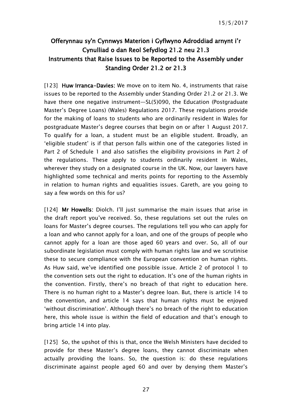# <span id="page-26-0"></span>Offerynnau sy'n Cynnwys Materion i Gyflwyno Adroddiad arnynt i'r Cynulliad o dan Reol Sefydlog 21.2 neu 21.3 Instruments that Raise Issues to be Reported to the Assembly under Standing Order 21.2 or 21.3

[123] Huw Irranca-Davies: We move on to item No. 4, instruments that raise issues to be reported to the Assembly under Standing Order 21.2 or 21.3. We have there one negative instrument—SL(5)090, the Education (Postgraduate Master's Degree Loans) (Wales) Regulations 2017. These regulations provide for the making of loans to students who are ordinarily resident in Wales for postgraduate Master's degree courses that begin on or after 1 August 2017. To qualify for a loan, a student must be an eligible student. Broadly, an 'eligible student' is if that person falls within one of the categories listed in Part 2 of Schedule 1 and also satisfies the eligibility provisions in Part 2 of the regulations. These apply to students ordinarily resident in Wales, wherever they study on a designated course in the UK. Now, our lawyers have highlighted some technical and merits points for reporting to the Assembly in relation to human rights and equalities issues. Gareth, are you going to say a few words on this for us?

[124] Mr Howells: Diolch. I'll just summarise the main issues that arise in the draft report you've received. So, these regulations set out the rules on loans for Master's degree courses. The regulations tell you who can apply for a loan and who cannot apply for a loan, and one of the groups of people who cannot apply for a loan are those aged 60 years and over. So, all of our subordinate legislation must comply with human rights law and we scrutinise these to secure compliance with the European convention on human rights. As Huw said, we've identified one possible issue. Article 2 of protocol 1 to the convention sets out the right to education. It's one of the human rights in the convention. Firstly, there's no breach of that right to education here. There is no human right to a Master's degree loan. But, there is article 14 to the convention, and article 14 says that human rights must be enjoyed 'without discrimination'. Although there's no breach of the right to education here, this whole issue is within the field of education and that's enough to bring article 14 into play.

[125] So, the upshot of this is that, once the Welsh Ministers have decided to provide for these Master's degree loans, they cannot discriminate when actually providing the loans. So, the question is: do these regulations discriminate against people aged 60 and over by denying them Master's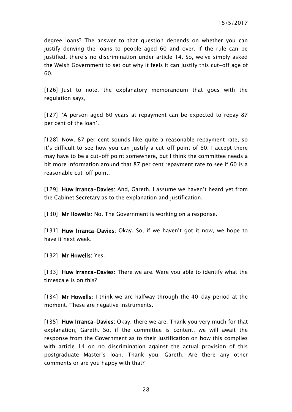degree loans? The answer to that question depends on whether you can justify denying the loans to people aged 60 and over. If the rule can be justified, there's no discrimination under article 14. So, we've simply asked the Welsh Government to set out why it feels it can justify this cut-off age of 60.

[126] Just to note, the explanatory memorandum that goes with the regulation says,

[127] 'A person aged 60 years at repayment can be expected to repay 87 per cent of the loan'.

[128] Now, 87 per cent sounds like quite a reasonable repayment rate, so it's difficult to see how you can justify a cut-off point of 60. I accept there may have to be a cut-off point somewhere, but I think the committee needs a bit more information around that 87 per cent repayment rate to see if 60 is a reasonable cut-off point.

[129] Huw Irranca-Davies: And, Gareth, I assume we haven't heard yet from the Cabinet Secretary as to the explanation and justification.

[130] Mr Howells: No. The Government is working on a response.

[131] Huw Irranca-Davies: Okay. So, if we haven't got it now, we hope to have it next week.

[132] Mr Howells: Yes.

[133] Huw Irranca-Davies: There we are. Were you able to identify what the timescale is on this?

[134] Mr Howells: I think we are halfway through the 40-day period at the moment. These are negative instruments.

[135] Huw Irranca-Davies: Okay, there we are. Thank you very much for that explanation, Gareth. So, if the committee is content, we will await the response from the Government as to their justification on how this complies with article 14 on no discrimination against the actual provision of this postgraduate Master's loan. Thank you, Gareth. Are there any other comments or are you happy with that?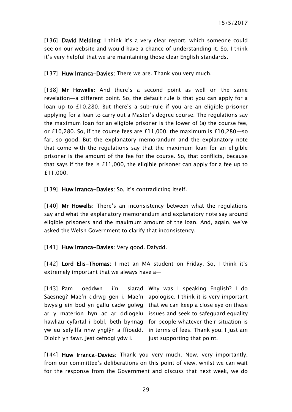[136] David Melding: I think it's a very clear report, which someone could see on our website and would have a chance of understanding it. So, I think it's very helpful that we are maintaining those clear English standards.

[137] Huw Irranca-Davies: There we are. Thank you very much.

[138] Mr Howells: And there's a second point as well on the same revelation—a different point. So, the default rule is that you can apply for a loan up to £10,280. But there's a sub-rule if you are an eligible prisoner applying for a loan to carry out a Master's degree course. The regulations say the maximum loan for an eligible prisoner is the lower of (a) the course fee, or £10,280. So, if the course fees are £11,000, the maximum is £10,280—so far, so good. But the explanatory memorandum and the explanatory note that come with the regulations say that the maximum loan for an eligible prisoner is the amount of the fee for the course. So, that conflicts, because that says if the fee is £11,000, the eligible prisoner can apply for a fee up to £11,000.

[139] Huw Irranca-Davies: So, it's contradicting itself.

[140] Mr Howells: There's an inconsistency between what the regulations say and what the explanatory memorandum and explanatory note say around eligible prisoners and the maximum amount of the loan. And, again, we've asked the Welsh Government to clarify that inconsistency.

[141] Huw Irranca-Davies: Very good. Dafydd.

[142] Lord Elis-Thomas: I met an MA student on Friday. So, I think it's extremely important that we always have a—

 $[143]$  Pam oeddwn i'n Saesneg? Mae'n ddrwg gen i. Mae'n apologise. I think it is very important bwysig ein bod yn gallu cadw golwg that we can keep a close eye on these ar y materion hyn ac ar ddiogelu issues and seek to safeguard equality hawliau cyfartal i bobl, beth bynnag for people whatever their situation is yw eu sefyllfa nhw ynglŷn a ffioedd. in terms of fees. Thank you. I just am Diolch yn fawr. Jest cefnogi ydw i. Why was I speaking English? I do just supporting that point.

[144] Huw Irranca-Davies: Thank you very much. Now, very importantly, from our committee's deliberations on this point of view, whilst we can wait for the response from the Government and discuss that next week, we do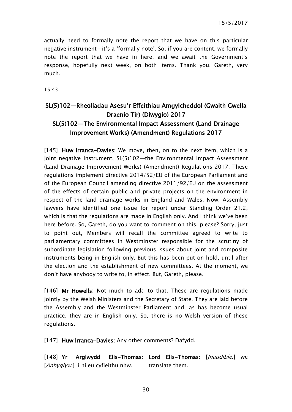actually need to formally note the report that we have on this particular negative instrument—it's a 'formally note'. So, if you are content, we formally note the report that we have in here, and we await the Government's response, hopefully next week, on both items. Thank you, Gareth, very much.

15:43

# <span id="page-29-0"></span>SL(5)102—Rheoliadau Asesu'r Effeithiau Amgylcheddol (Gwaith Gwella Draenio Tir) (Diwygio) 2017 SL(5)102—The Environmental Impact Assessment (Land Drainage Improvement Works) (Amendment) Regulations 2017

[145] Huw Irranca-Davies: We move, then, on to the next item, which is a joint negative instrument, SL(5)102—the Environmental Impact Assessment (Land Drainage Improvement Works) (Amendment) Regulations 2017. These regulations implement directive 2014/52/EU of the European Parliament and of the European Council amending directive 2011/92/EU on the assessment of the effects of certain public and private projects on the environment in respect of the land drainage works in England and Wales. Now, Assembly lawyers have identified one issue for report under Standing Order 21.2, which is that the regulations are made in English only. And I think we've been here before. So, Gareth, do you want to comment on this, please? Sorry, just to point out, Members will recall the committee agreed to write to parliamentary committees in Westminster responsible for the scrutiny of subordinate legislation following previous issues about joint and composite instruments being in English only. But this has been put on hold, until after the election and the establishment of new committees. At the moment, we don't have anybody to write to, in effect. But, Gareth, please.

[146] Mr Howells: Not much to add to that. These are regulations made jointly by the Welsh Ministers and the Secretary of State. They are laid before the Assembly and the Westminster Parliament and, as has become usual practice, they are in English only. So, there is no Welsh version of these regulations.

[147] Huw Irranca-Davies: Any other comments? Dafydd.

 $[148]$  Yr Arglwydd [Anhyglyw.] i ni eu cyfieithu nhw. Elis-Thomas: Lord Elis-Thomas: [*Inaudible*.] we translate them.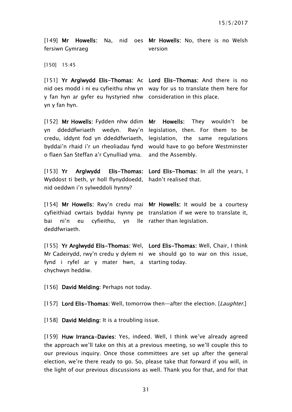[149] Mr Howells: Na, nid oes Mr Howells: No, there is no Welsh fersiwn Gymraeg

version

[150] 15:45

y fan hyn ar gyfer eu hystyried nhw consideration in this place. yn y fan hyn.

[151] Yr Arglwydd Elis-Thomas: Ac Lord Elis-Thomas: And there is no nid oes modd i ni eu cyfieithu nhw yn way for us to translate them here for

[152] Mr Howells: Fydden nhw ddim Mr yn ddeddfwriaeth wedyn. o flaen San Steffan a'r Cynulliad yma.

 $[153]$  Yr Arglwydd Wyddost ti beth, yr holl flynyddoedd, hadn't realised that. nid oeddwn i'n sylweddoli hynny?

credu, iddynt fod yn ddeddfwriaeth, legislation, the same regulations byddai'n rhaid i'r un rheoliadau fynd would have to go before Westminster Howells: They wouldn't be Rwy'n legislation, then. For them to be and the Assembly.

Elis-Thomas: Lord Elis-Thomas: In all the years, I

[154] Mr Howells: Rwy'n credu mai Mr Howells: It would be a courtesy cyfieithiad cwrtais byddai hynny pe translation if we were to translate it, bai ni'n eu cyfieithu, yn lle rather than legislation. deddfwriaeth.

[155] Yr Arglwydd Elis-Thomas: Wel, Lord Elis-Thomas: Well, Chair, I think Mr Cadeirydd, rwy'n credu y dylem ni we should go to war on this issue, fynd i ryfel ar y mater hwn, a starting today. chychwyn heddiw.

[156] David Melding: Perhaps not today.

[157] Lord Elis-Thomas: Well, tomorrow then—after the election. [Laughter.]

[158] David Melding: It is a troubling issue.

[159] Huw Irranca-Davies: Yes, indeed. Well, I think we've already agreed the approach we'll take on this at a previous meeting, so we'll couple this to our previous inquiry. Once those committees are set up after the general election, we're there ready to go. So, please take that forward if you will, in the light of our previous discussions as well. Thank you for that, and for that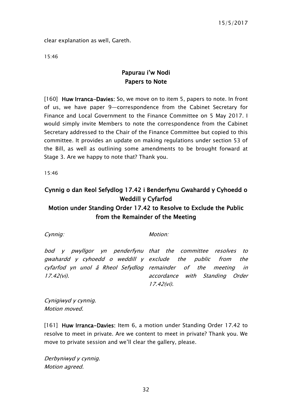clear explanation as well, Gareth.

<span id="page-31-0"></span>15:46

## Papurau i'w Nodi Papers to Note

[160] Huw Irranca-Davies: So, we move on to item 5, papers to note. In front of us, we have paper 9—correspondence from the Cabinet Secretary for Finance and Local Government to the Finance Committee on 5 May 2017. I would simply invite Members to note the correspondence from the Cabinet Secretary addressed to the Chair of the Finance Committee but copied to this committee. It provides an update on making regulations under section 53 of the Bill, as well as outlining some amendments to be brought forward at Stage 3. Are we happy to note that? Thank you.

15:46

# <span id="page-31-1"></span>Cynnig o dan Reol Sefydlog 17.42 i Benderfynu Gwahardd y Cyhoedd o Weddill y Cyfarfod

## Motion under Standing Order 17.42 to Resolve to Exclude the Public from the Remainder of the Meeting

Cynnig:

Motion:

bod y pwyllgor yn penderfynu that the committee resolves to gwahardd y cyhoedd o weddill y exclude the public from the cyfarfod yn unol â Rheol Sefydlog remainder of the meeting in 17.42(vi). accordance with Standing Order 17.42(vi).

Cynigiwyd y cynnig. Motion moved.

[161] Huw Irranca-Davies: Item 6, a motion under Standing Order 17.42 to resolve to meet in private. Are we content to meet in private? Thank you. We move to private session and we'll clear the gallery, please.

Derbyniwyd y cynnig. Motion agreed.